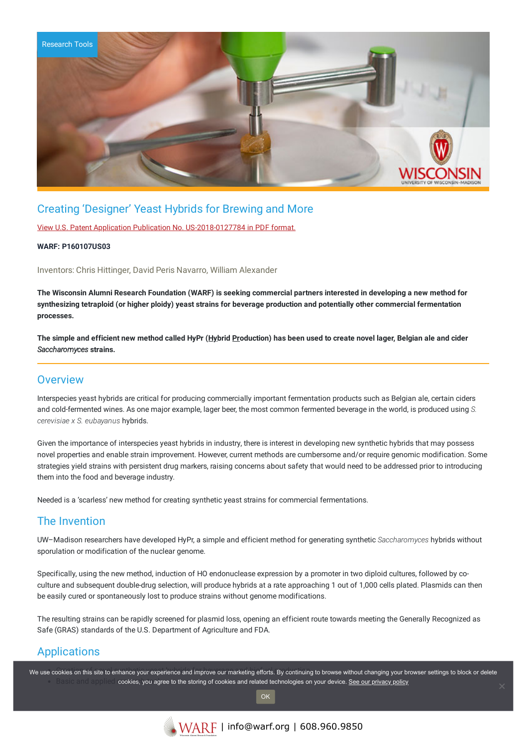

### Creating 'Designer' Yeast Hybrids for Brewing and More

View U.S. Patent Application Publication No. [US-2018-0127784](https://www.warf.org/wp-content/uploads/technologies/pubapps/P160107US03-Published-Application.PDF) in PDF format.

#### **WARF: P160107US03**

Inventors: Chris Hittinger, David Peris Navarro, William Alexander

The Wisconsin Alumni Research Foundation (WARF) is seeking commercial partners interested in developing a new method for synthesizing tetraploid (or higher ploidy) yeast strains for beverage production and potentially other commercial fermentation **processes.**

The simple and efficient new method called HyPr (Hybrid Production) has been used to create novel lager, Belgian ale and cider *Saccharomyces* **strains.**

### **Overview**

Interspecies yeast hybrids are critical for producing commercially important fermentation products such as Belgian ale, certain ciders and cold-fermented wines. As one major example, lager beer, the most common fermented beverage in the world, is produced using *S. cerevisiae x S. eubayanus* hybrids.

Given the importance of interspecies yeast hybrids in industry, there is interest in developing new synthetic hybrids that may possess novel properties and enable strain improvement. However, current methods are cumbersome and/or require genomic modification. Some strategies yield strains with persistent drug markers, raising concerns about safety that would need to be addressed prior to introducing them into the food and beverage industry.

Needed is a 'scarless' new method for creating synthetic yeast strains for commercial fermentations.

### The Invention

UW–Madison researchers have developed HyPr, a simple and efficient method for generating synthetic *Saccharomyces* hybrids without sporulation or modification of the nuclear genome.

Specifically, using the new method, induction of HO endonuclease expression by a promoter in two diploid cultures, followed by coculture and subsequent double-drug selection, will produce hybrids at a rate approaching 1 out of 1,000 cells plated. Plasmids can then be easily cured or spontaneously lost to produce strains without genome modifications.

The resulting strains can be rapidly screened for plasmid loss, opening an efficient route towards meeting the Generally Recognized as Safe (GRAS) standards of the U.S. Department of Agriculture and FDA.

## **Applications**

We use cookies on this site to enhance your experience and improve our marketing efforts. By continuing to browse without changing your browser settings to block or delete Basic and applied cookies, you agree to the storing of cookies and related technologies on your device. [See our privacy policy](https://www.warf.org/privacy-policy/)